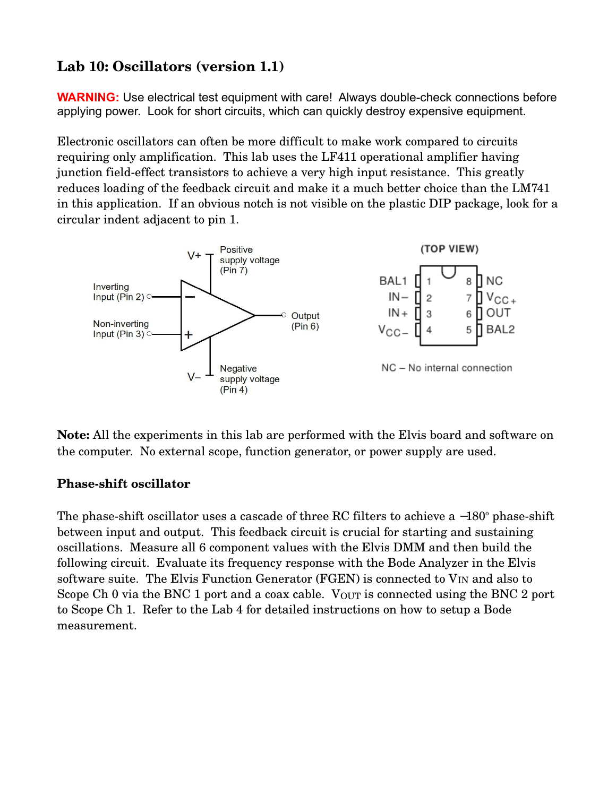## **Lab 10: Oscillators (version 1.1)**

**WARNING:** Use electrical test equipment with care! Always double-check connections before applying power. Look for short circuits, which can quickly destroy expensive equipment.

Electronic oscillators can often be more difficult to make work compared to circuits requiring only amplification. This lab uses the LF411 operational amplifier having junction field-effect transistors to achieve a very high input resistance. This greatly reduces loading of the feedback circuit and make it a much better choice than the LM741 in this application. If an obvious notch is not visible on the plastic DIP package, look for a circular indent adjacent to pin 1.



**Note:** All the experiments in this lab are performed with the Elvis board and software on the computer. No external scope, function generator, or power supply are used.

## **Phase-shift oscillator**

The phase-shift oscillator uses a cascade of three RC filters to achieve a  $-180^\circ$  phase-shift between input and output. This feedback circuit is crucial for starting and sustaining oscillations. Measure all 6 component values with the Elvis DMM and then build the following circuit. Evaluate its frequency response with the Bode Analyzer in the Elvis software suite. The Elvis Function Generator (FGEN) is connected to  $V_{IN}$  and also to Scope Ch 0 via the BNC 1 port and a coax cable. V<sub>OUT</sub> is connected using the BNC 2 port to Scope Ch 1. Refer to the Lab 4 for detailed instructions on how to setup a Bode measurement.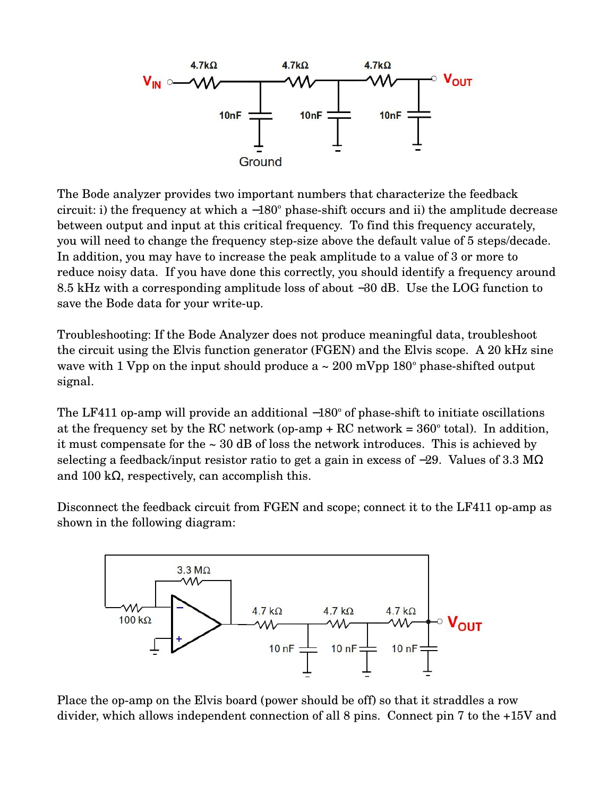

The Bode analyzer provides two important numbers that characterize the feedback circuit: i) the frequency at which a  $-180^\circ$  phase-shift occurs and ii) the amplitude decrease between output and input at this critical frequency. To find this frequency accurately, you will need to change the frequency step-size above the default value of 5 steps/decade. In addition, you may have to increase the peak amplitude to a value of 3 or more to reduce noisy data. If you have done this correctly, you should identify a frequency around 8.5 kHz with a corresponding amplitude loss of about −30 dB. Use the LOG function to save the Bode data for your write-up.

Troubleshooting: If the Bode Analyzer does not produce meaningful data, troubleshoot the circuit using the Elvis function generator (FGEN) and the Elvis scope. A 20 kHz sine wave with 1 Vpp on the input should produce a  $\sim 200$  mVpp 180 $^{\circ}$  phase-shifted output signal.

The LF411 op-amp will provide an additional  $-180^\circ$  of phase-shift to initiate oscillations at the frequency set by the RC network (op-amp  $+$  RC network =  $360^{\circ}$  total). In addition, it must compensate for the  $\sim 30$  dB of loss the network introduces. This is achieved by selecting a feedback/input resistor ratio to get a gain in excess of −29. Values of 3.3 MΩ and 100 k $\Omega$ , respectively, can accomplish this.

Disconnect the feedback circuit from FGEN and scope; connect it to the LF411 op-amp as shown in the following diagram:



Place the op-amp on the Elvis board (power should be off) so that it straddles a row divider, which allows independent connection of all 8 pins. Connect pin 7 to the +15V and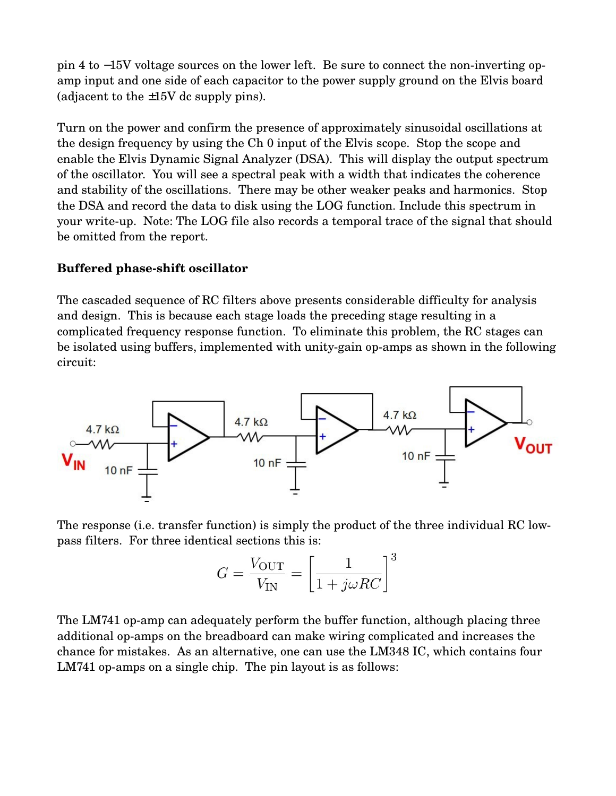pin 4 to −15V voltage sources on the lower left. Be sure to connect the non-inverting opamp input and one side of each capacitor to the power supply ground on the Elvis board (adjacent to the  $\pm 15V$  dc supply pins).

Turn on the power and confirm the presence of approximately sinusoidal oscillations at the design frequency by using the Ch 0 input of the Elvis scope. Stop the scope and enable the Elvis Dynamic Signal Analyzer (DSA). This will display the output spectrum of the oscillator. You will see a spectral peak with a width that indicates the coherence and stability of the oscillations. There may be other weaker peaks and harmonics. Stop the DSA and record the data to disk using the LOG function. Include this spectrum in your write-up. Note: The LOG file also records a temporal trace of the signal that should be omitted from the report.

## **Buffered phaseshift oscillator**

The cascaded sequence of RC filters above presents considerable difficulty for analysis and design. This is because each stage loads the preceding stage resulting in a complicated frequency response function. To eliminate this problem, the RC stages can be isolated using buffers, implemented with unity-gain op-amps as shown in the following circuit:



The response (i.e. transfer function) is simply the product of the three individual RC lowpass filters. For three identical sections this is:

$$
G = \frac{V_{\text{OUT}}}{V_{\text{IN}}} = \left[\frac{1}{1 + j\omega RC}\right]^3
$$

The LM741 op-amp can adequately perform the buffer function, although placing three additional op-amps on the breadboard can make wiring complicated and increases the chance for mistakes. As an alternative, one can use the LM348 IC, which contains four  $LM741$  op-amps on a single chip. The pin layout is as follows: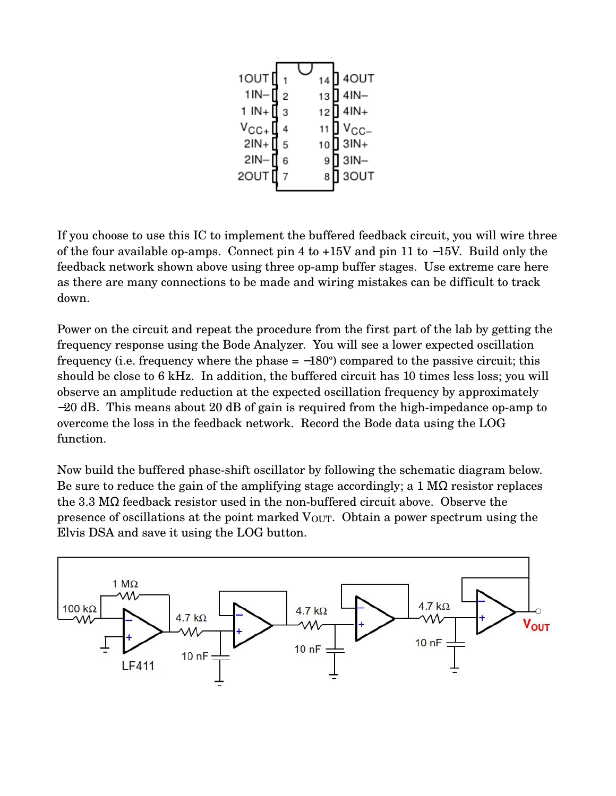| 1OUT <sup>[</sup>                                                               |     | 14 | 140UT                              |
|---------------------------------------------------------------------------------|-----|----|------------------------------------|
| $1IN -$                                                                         | I 2 |    | 13 <sup>1</sup> 4IN-               |
| 1 IN + $\Box$ 3                                                                 |     |    | $12$ 4lN+                          |
| $V_{\text{CC+}}$ $\left[\begin{array}{c} 4 \\ 2 \text{IN} + \end{array}\right]$ |     |    | 11   V <sub>CC-</sub><br>10   3IN+ |
|                                                                                 |     |    |                                    |
| $2IN -$                                                                         | 6   | 9  | $3IN -$                            |
| 2OUT <sup>[</sup>                                                               |     | 8  | 3OUT                               |
|                                                                                 |     |    |                                    |

If you choose to use this IC to implement the buffered feedback circuit, you will wire three of the four available op-amps. Connect pin 4 to  $+15V$  and pin 11 to  $-15V$ . Build only the feedback network shown above using three op-amp buffer stages. Use extreme care here as there are many connections to be made and wiring mistakes can be difficult to track down.

Power on the circuit and repeat the procedure from the first part of the lab by getting the frequency response using the Bode Analyzer. You will see a lower expected oscillation frequency (i.e. frequency where the phase  $= -180^{\circ}$ ) compared to the passive circuit; this should be close to 6 kHz. In addition, the buffered circuit has 10 times less loss; you will observe an amplitude reduction at the expected oscillation frequency by approximately  $-20$  dB. This means about 20 dB of gain is required from the high-impedance op-amp to overcome the loss in the feedback network. Record the Bode data using the LOG function.

Now build the buffered phase-shift oscillator by following the schematic diagram below. Be sure to reduce the gain of the amplifying stage accordingly; a  $1 M\Omega$  resistor replaces the 3.3 M $\Omega$  feedback resistor used in the non-buffered circuit above. Observe the presence of oscillations at the point marked  $V_{\text{OUT}}$ . Obtain a power spectrum using the Elvis DSA and save it using the LOG button.

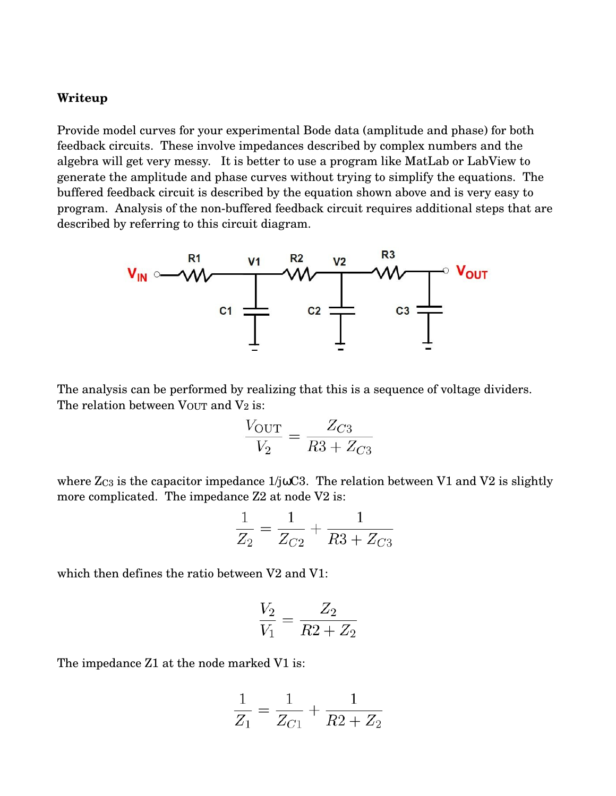## **Writeup**

Provide model curves for your experimental Bode data (amplitude and phase) for both feedback circuits. These involve impedances described by complex numbers and the algebra will get very messy. It is better to use a program like MatLab or LabView to generate the amplitude and phase curves without trying to simplify the equations. The buffered feedback circuit is described by the equation shown above and is very easy to program. Analysis of the non-buffered feedback circuit requires additional steps that are described by referring to this circuit diagram.



The analysis can be performed by realizing that this is a sequence of voltage dividers. The relation between  $V_{\text{OUT}}$  and  $V_2$  is:

$$
\frac{V_{\text{OUT}}}{V_2} = \frac{Z_{C3}}{R3 + Z_{C3}}
$$

where  $Z_{C3}$  is the capacitor impedance  $1/j\omega C3$ . The relation between V1 and V2 is slightly more complicated. The impedance Z2 at node V2 is:

$$
\frac{1}{Z_2} = \frac{1}{Z_{C2}} + \frac{1}{R3 + Z_{C3}}
$$

which then defines the ratio between V2 and V1:

$$
\frac{V_2}{V_1} = \frac{Z_2}{R2 + Z_2}
$$

The impedance Z1 at the node marked V1 is:

$$
\frac{1}{Z_1} = \frac{1}{Z_{C1}} + \frac{1}{R2 + Z_2}
$$